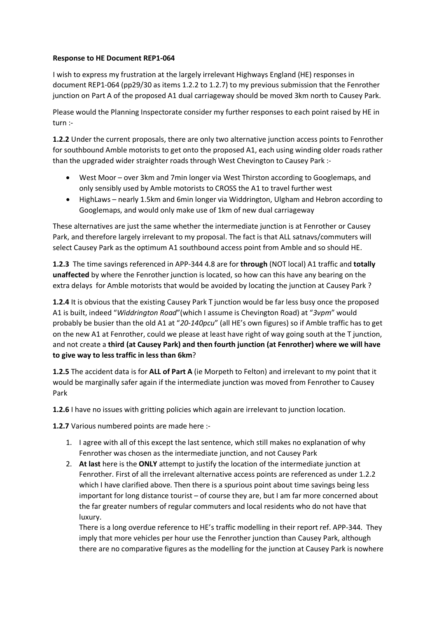## **Response to HE Document REP1-064**

I wish to express my frustration at the largely irrelevant Highways England (HE) responses in document REP1-064 (pp29/30 as items 1.2.2 to 1.2.7) to my previous submission that the Fenrother junction on Part A of the proposed A1 dual carriageway should be moved 3km north to Causey Park.

Please would the Planning Inspectorate consider my further responses to each point raised by HE in turn :-

**1.2.2** Under the current proposals, there are only two alternative junction access points to Fenrother for southbound Amble motorists to get onto the proposed A1, each using winding older roads rather than the upgraded wider straighter roads through West Chevington to Causey Park :-

- West Moor over 3km and 7min longer via West Thirston according to Googlemaps, and only sensibly used by Amble motorists to CROSS the A1 to travel further west
- HighLaws nearly 1.5km and 6min longer via Widdrington, Ulgham and Hebron according to Googlemaps, and would only make use of 1km of new dual carriageway

These alternatives are just the same whether the intermediate junction is at Fenrother or Causey Park, and therefore largely irrelevant to my proposal. The fact is that ALL satnavs/commuters will select Causey Park as the optimum A1 southbound access point from Amble and so should HE.

**1.2.3** The time savings referenced in APP-344 4.8 are for **through** (NOT local) A1 traffic and **totally unaffected** by where the Fenrother junction is located, so how can this have any bearing on the extra delays for Amble motorists that would be avoided by locating the junction at Causey Park ?

**1.2.4** It is obvious that the existing Causey Park T junction would be far less busy once the proposed A1 is built, indeed "*Widdrington Road*"(which I assume is Chevington Road) at "*3vpm*" would probably be busier than the old A1 at "*20-140pcu*" (all HE's own figures) so if Amble traffic has to get on the new A1 at Fenrother, could we please at least have right of way going south at the T junction, and not create a **third (at Causey Park) and then fourth junction (at Fenrother) where we will have to give way to less traffic in less than 6km**?

**1.2.5** The accident data is for **ALL of Part A** (ie Morpeth to Felton) and irrelevant to my point that it would be marginally safer again if the intermediate junction was moved from Fenrother to Causey Park

**1.2.6** I have no issues with gritting policies which again are irrelevant to junction location.

**1.2.7** Various numbered points are made here :-

- 1. I agree with all of this except the last sentence, which still makes no explanation of why Fenrother was chosen as the intermediate junction, and not Causey Park
- 2. **At last** here is the **ONLY** attempt to justify the location of the intermediate junction at Fenrother. First of all the irrelevant alternative access points are referenced as under 1.2.2 which I have clarified above. Then there is a spurious point about time savings being less important for long distance tourist – of course they are, but I am far more concerned about the far greater numbers of regular commuters and local residents who do not have that luxury.

There is a long overdue reference to HE's traffic modelling in their report ref. APP-344. They imply that more vehicles per hour use the Fenrother junction than Causey Park, although there are no comparative figures as the modelling for the junction at Causey Park is nowhere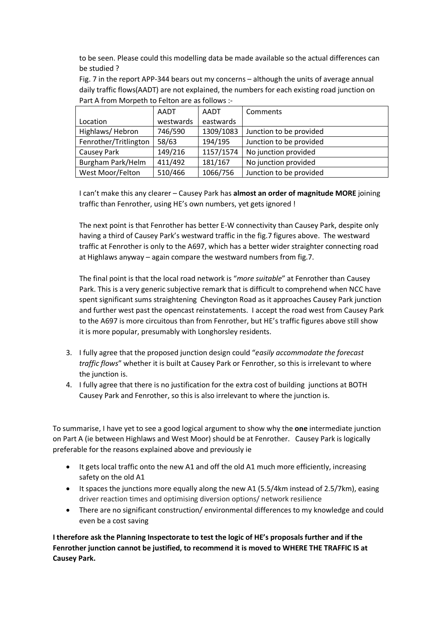to be seen. Please could this modelling data be made available so the actual differences can be studied ?

Fig. 7 in the report APP-344 bears out my concerns – although the units of average annual daily traffic flows(AADT) are not explained, the numbers for each existing road junction on Part A from Morpeth to Felton are as follows :-

|                       | AADT      | AADT      | Comments                |
|-----------------------|-----------|-----------|-------------------------|
| Location              | westwards | eastwards |                         |
| Highlaws/Hebron       | 746/590   | 1309/1083 | Junction to be provided |
| Fenrother/Tritlington | 58/63     | 194/195   | Junction to be provided |
| Causey Park           | 149/216   | 1157/1574 | No junction provided    |
| Burgham Park/Helm     | 411/492   | 181/167   | No junction provided    |
| West Moor/Felton      | 510/466   | 1066/756  | Junction to be provided |

I can't make this any clearer – Causey Park has **almost an order of magnitude MORE** joining traffic than Fenrother, using HE's own numbers, yet gets ignored !

The next point is that Fenrother has better E-W connectivity than Causey Park, despite only having a third of Causey Park's westward traffic in the fig.7 figures above. The westward traffic at Fenrother is only to the A697, which has a better wider straighter connecting road at Highlaws anyway – again compare the westward numbers from fig.7.

The final point is that the local road network is "*more suitable*" at Fenrother than Causey Park. This is a very generic subjective remark that is difficult to comprehend when NCC have spent significant sums straightening Chevington Road as it approaches Causey Park junction and further west past the opencast reinstatements. I accept the road west from Causey Park to the A697 is more circuitous than from Fenrother, but HE's traffic figures above still show it is more popular, presumably with Longhorsley residents.

- 3. I fully agree that the proposed junction design could "*easily accommodate the forecast traffic flows*" whether it is built at Causey Park or Fenrother, so this is irrelevant to where the junction is.
- 4. I fully agree that there is no justification for the extra cost of building junctions at BOTH Causey Park and Fenrother, so this is also irrelevant to where the junction is.

To summarise, I have yet to see a good logical argument to show why the **one** intermediate junction on Part A (ie between Highlaws and West Moor) should be at Fenrother. Causey Park is logically preferable for the reasons explained above and previously ie

- It gets local traffic onto the new A1 and off the old A1 much more efficiently, increasing safety on the old A1
- It spaces the junctions more equally along the new A1 (5.5/4km instead of 2.5/7km), easing driver reaction times and optimising diversion options/ network resilience
- There are no significant construction/ environmental differences to my knowledge and could even be a cost saving

**I therefore ask the Planning Inspectorate to test the logic of HE's proposals further and if the Fenrother junction cannot be justified, to recommend it is moved to WHERE THE TRAFFIC IS at Causey Park.**